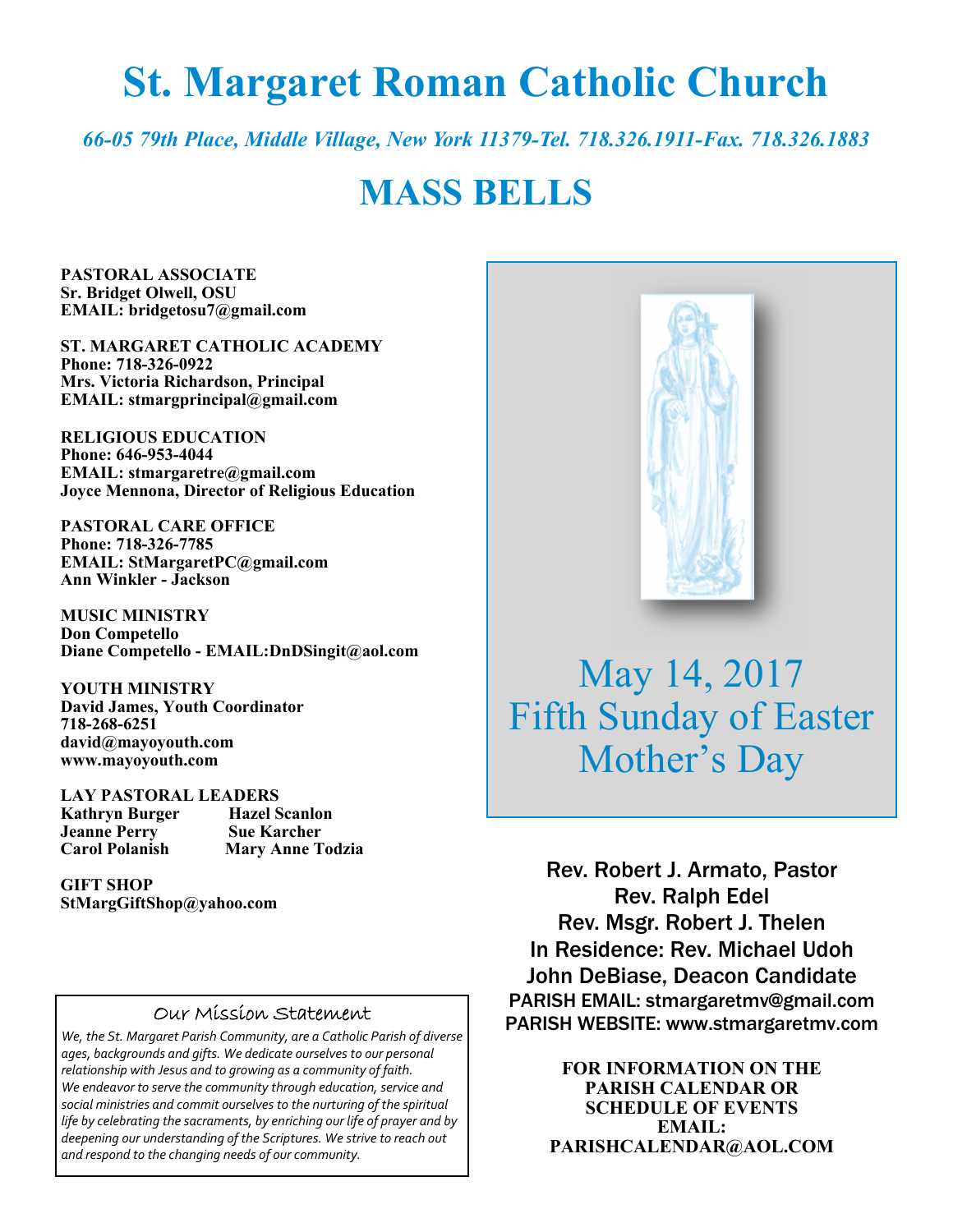# **St. Margaret Roman Catholic Church**

*66-05 79th Place, Middle Village, New York 11379-Tel. 718.326.1911-Fax. 718.326.1883* 

## **MASS BELLS**

**PASTORAL ASSOCIATE Sr. Bridget Olwell, OSU EMAIL: bridgetosu7@gmail.com** 

**ST. MARGARET CATHOLIC ACADEMY Phone: 718-326-0922 Mrs. Victoria Richardson, Principal EMAIL: stmargprincipal@gmail.com** 

**RELIGIOUS EDUCATION Phone: 646-953-4044 EMAIL: stmargaretre@gmail.com Joyce Mennona, Director of Religious Education** 

**PASTORAL CARE OFFICE Phone: 718-326-7785 EMAIL: StMargaretPC@gmail.com Ann Winkler - Jackson** 

**MUSIC MINISTRY Don Competello Diane Competello - EMAIL:DnDSingit@aol.com** 

**YOUTH MINISTRY David James, Youth Coordinator 718-268-6251 david@mayoyouth.com www.mayoyouth.com** 

**LAY PASTORAL LEADERS Kathryn Burger Hazel Scanlon Jeanne Perry Carol Polanish Mary Anne Todzia** 

**GIFT SHOP StMargGiftShop@yahoo.com**

#### Our Mission Statement

*We, the St. Margaret Parish Community, are a Catholic Parish of diverse ages, backgrounds and gifts. We dedicate ourselves to our personal relationship with Jesus and to growing as a community of faith. We endeavor to serve the community through education, service and social ministries and commit ourselves to the nurturing of the spiritual life by celebrating the sacraments, by enriching our life of prayer and by deepening our understanding of the Scriptures. We strive to reach out and respond to the changing needs of our community.*



May 14, 2017 Fifth Sunday of Easter Mother's Day

Rev. Robert J. Armato, Pastor Rev. Ralph Edel Rev. Msgr. Robert J. Thelen In Residence: Rev. Michael Udoh John DeBiase, Deacon Candidate PARISH EMAIL: stmargaretmv@gmail.com PARISH WEBSITE: www.stmargaretmv.com

> **FOR INFORMATION ON THE PARISH CALENDAR OR SCHEDULE OF EVENTS EMAIL: PARISHCALENDAR@AOL.COM**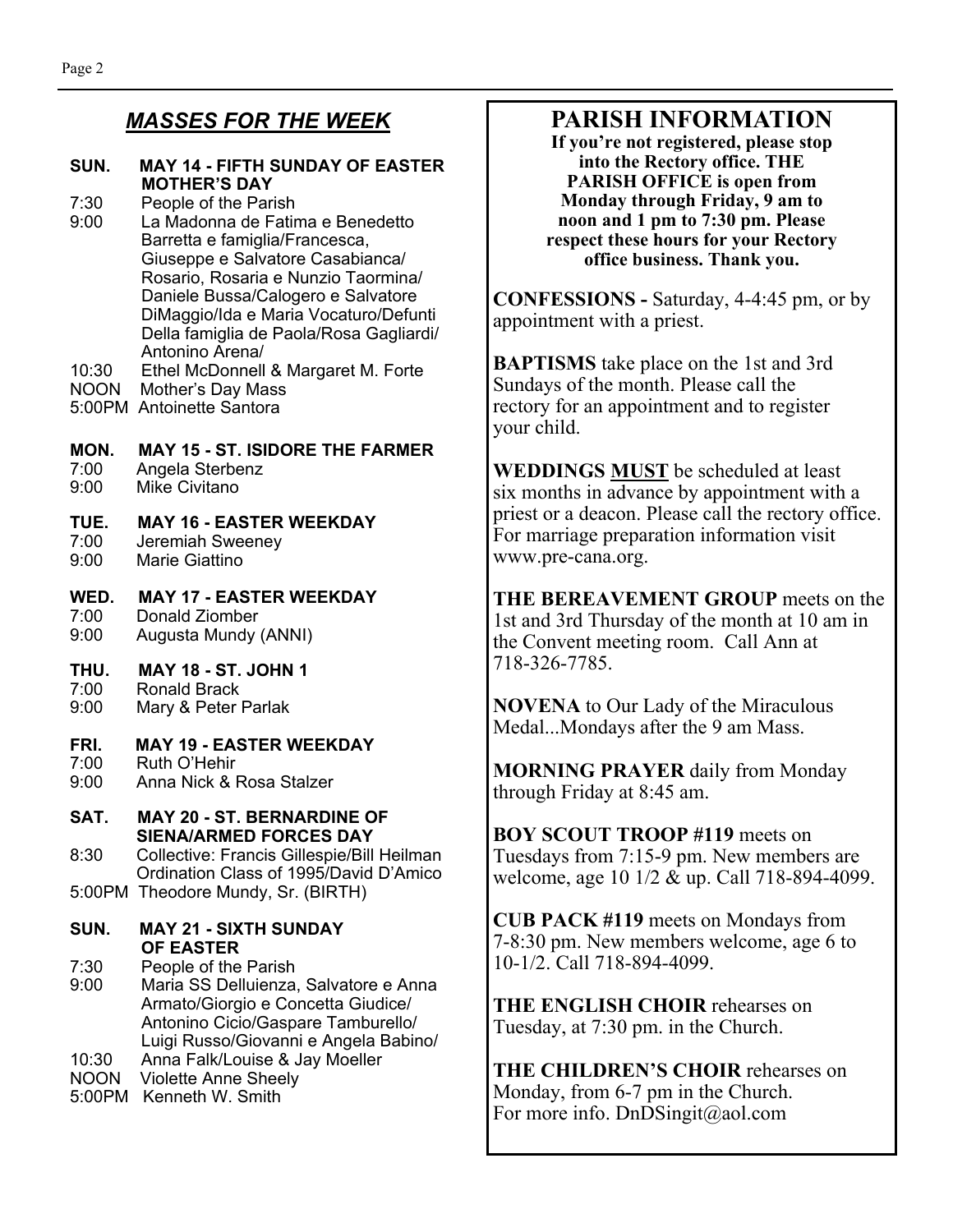#### **SUN. MAY 14 - FIFTH SUNDAY OF EASTER MOTHER'S DAY**

7:30 People of the Parish

- 9:00 La Madonna de Fatima e Benedetto Barretta e famiglia/Francesca, Giuseppe e Salvatore Casabianca/ Rosario, Rosaria e Nunzio Taormina/ Daniele Bussa/Calogero e Salvatore DiMaggio/Ida e Maria Vocaturo/Defunti Della famiglia de Paola/Rosa Gagliardi/ Antonino Arena/
- 10:30 Ethel McDonnell & Margaret M. Forte
- NOON Mother's Day Mass
- 5:00PM Antoinette Santora

#### **MON. MAY 15 - ST. ISIDORE THE FARMER**

- 7:00 Angela Sterbenz
- 9:00 Mike Civitano

## **TUE. MAY 16 - EASTER WEEKDAY**

- 7:00 Jeremiah Sweeney<br>9:00 Marie Giattino
- Marie Giattino

#### **WED. MAY 17 - EASTER WEEKDAY**  7:00 Donald Ziomber

9:00 Augusta Mundy (ANNI)

#### **THU. MAY 18 - ST. JOHN 1**

- 7:00 Ronald Brack
- 9:00 Mary & Peter Parlak

#### **FRI. MAY 19 - EASTER WEEKDAY**

- 7:00 Ruth O'Hehir<br>9:00 Anna Nick & F
- 9:00 Anna Nick & Rosa Stalzer

#### **SAT. MAY 20 - ST. BERNARDINE OF SIENA/ARMED FORCES DAY**

8:30 Collective: Francis Gillespie/Bill Heilman Ordination Class of 1995/David D'Amico 5:00PM Theodore Mundy, Sr. (BIRTH)

#### **SUN. MAY 21 - SIXTH SUNDAY OF EASTER**

7:30 People of the Parish 9:00 Maria SS Delluienza, Salvatore e Anna Armato/Giorgio e Concetta Giudice/ Antonino Cicio/Gaspare Tamburello/ Luigi Russo/Giovanni e Angela Babino/

- 10:30 Anna Falk/Louise & Jay Moeller
- NOON Violette Anne Sheely 5:00PM Kenneth W. Smith

## **PARISH INFORMATION**

**If you're not registered, please stop into the Rectory office. THE PARISH OFFICE is open from Monday through Friday, 9 am to noon and 1 pm to 7:30 pm. Please respect these hours for your Rectory office business. Thank you.** 

**CONFESSIONS -** Saturday, 4-4:45 pm, or by appointment with a priest.

**BAPTISMS** take place on the 1st and 3rd Sundays of the month. Please call the rectory for an appointment and to register your child.

**WEDDINGS MUST** be scheduled at least six months in advance by appointment with a priest or a deacon. Please call the rectory office. For marriage preparation information visit www.pre-cana.org.

**THE BEREAVEMENT GROUP** meets on the 1st and 3rd Thursday of the month at 10 am in the Convent meeting room. Call Ann at 718-326-7785.

**NOVENA** to Our Lady of the Miraculous Medal...Mondays after the 9 am Mass.

**MORNING PRAYER** daily from Monday through Friday at 8:45 am.

**BOY SCOUT TROOP #119** meets on Tuesdays from 7:15-9 pm. New members are welcome, age 10 1/2 & up. Call 718-894-4099.

**CUB PACK #119** meets on Mondays from 7-8:30 pm. New members welcome, age 6 to 10-1/2. Call 718-894-4099.

**THE ENGLISH CHOIR** rehearses on Tuesday, at 7:30 pm. in the Church.

**THE CHILDREN'S CHOIR** rehearses on Monday, from 6-7 pm in the Church. For more info. DnDSingit@aol.com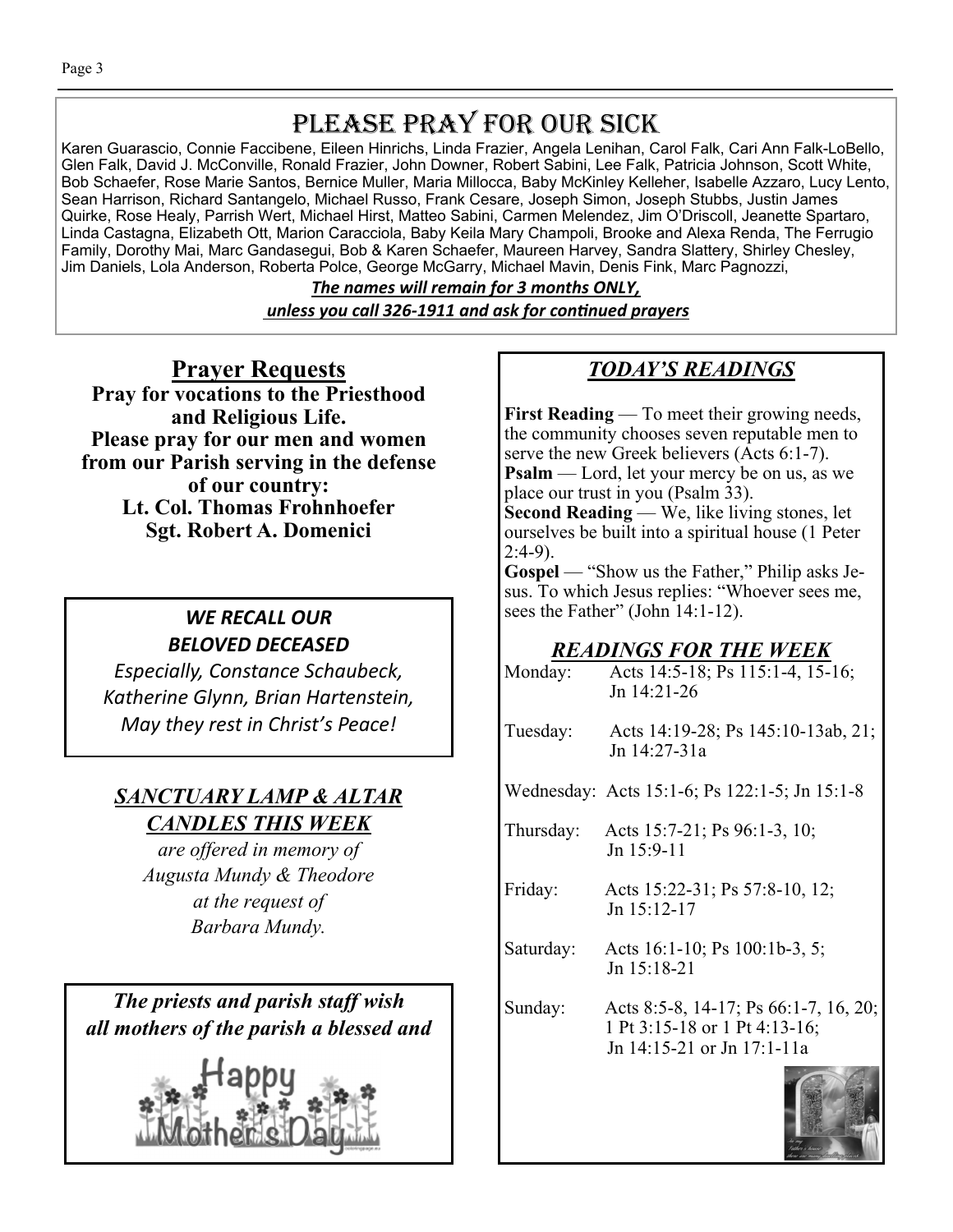## PLEASE PRAY FOR OUR SICK

Karen Guarascio, Connie Faccibene, Eileen Hinrichs, Linda Frazier, Angela Lenihan, Carol Falk, Cari Ann Falk-LoBello, Glen Falk, David J. McConville, Ronald Frazier, John Downer, Robert Sabini, Lee Falk, Patricia Johnson, Scott White, Bob Schaefer, Rose Marie Santos, Bernice Muller, Maria Millocca, Baby McKinley Kelleher, Isabelle Azzaro, Lucy Lento, Sean Harrison, Richard Santangelo, Michael Russo, Frank Cesare, Joseph Simon, Joseph Stubbs, Justin James Quirke, Rose Healy, Parrish Wert, Michael Hirst, Matteo Sabini, Carmen Melendez, Jim O'Driscoll, Jeanette Spartaro, Linda Castagna, Elizabeth Ott, Marion Caracciola, Baby Keila Mary Champoli, Brooke and Alexa Renda, The Ferrugio Family, Dorothy Mai, Marc Gandasegui, Bob & Karen Schaefer, Maureen Harvey, Sandra Slattery, Shirley Chesley, Jim Daniels, Lola Anderson, Roberta Polce, George McGarry, Michael Mavin, Denis Fink, Marc Pagnozzi,

> *The names will remain for 3 months ONLY, unless you call 326-1911 and ask for conƟnued prayers*

**Prayer Requests Pray for vocations to the Priesthood and Religious Life. Please pray for our men and women from our Parish serving in the defense of our country: Lt. Col. Thomas Frohnhoefer Sgt. Robert A. Domenici** 

### *WE RECALL OUR BELOVED DECEASED*

*Especially, Constance Schaubeck, Katherine Glynn, Brian Hartenstein, May they rest in Christ's Peace!* 

## *SANCTUARY LAMP & ALTAR CANDLES THIS WEEK*

*are offered in memory of Augusta Mundy & Theodore at the request of Barbara Mundy.* 

*The priests and parish staff wish all mothers of the parish a blessed and* 



## *TODAY'S READINGS*

**First Reading** — To meet their growing needs, the community chooses seven reputable men to serve the new Greek believers (Acts 6:1-7). **Psalm** — Lord, let your mercy be on us, as we place our trust in you (Psalm 33).

**Second Reading** — We, like living stones, let ourselves be built into a spiritual house (1 Peter  $2:4-9$ ).

**Gospel** — "Show us the Father," Philip asks Jesus. To which Jesus replies: "Whoever sees me, sees the Father" (John 14:1-12).

## *READINGS FOR THE WEEK*

| Monday:   | Acts 14:5-18; Ps 115:1-4, 15-16;<br>Jn 14:21-26                                                      |
|-----------|------------------------------------------------------------------------------------------------------|
| Tuesday:  | Acts 14:19-28; Ps 145:10-13ab, 21;<br>Jn 14:27-31a                                                   |
|           | Wednesday: Acts 15:1-6; Ps 122:1-5; Jn 15:1-8                                                        |
| Thursday: | Acts 15:7-21; Ps 96:1-3, 10;<br>Jn 15:9-11                                                           |
| Friday:   | Acts 15:22-31; Ps 57:8-10, 12;<br>Jn 15:12-17                                                        |
| Saturday: | Acts 16:1-10; Ps 100:1b-3, 5;<br>Jn 15:18-21                                                         |
| Sunday:   | Acts 8:5-8, 14-17; Ps 66:1-7, 16, 20;<br>1 Pt 3:15-18 or 1 Pt 4:13-16;<br>Jn 14:15-21 or Jn 17:1-11a |
|           |                                                                                                      |

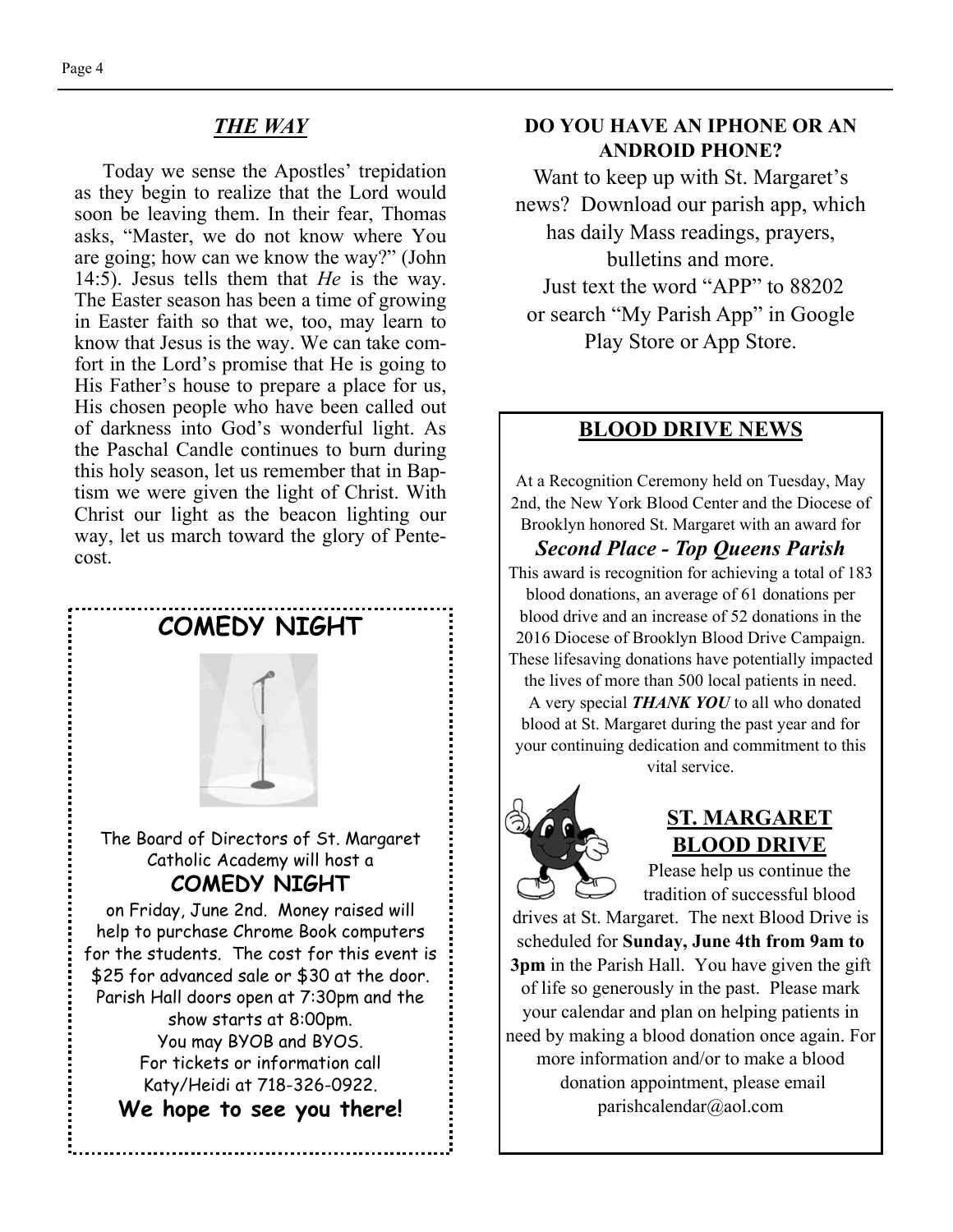#### *THE WAY*

Today we sense the Apostles' trepidation as they begin to realize that the Lord would soon be leaving them. In their fear, Thomas asks, "Master, we do not know where You are going; how can we know the way?" (John 14:5). Jesus tells them that *He* is the way. The Easter season has been a time of growing in Easter faith so that we, too, may learn to know that Jesus is the way. We can take comfort in the Lord's promise that He is going to His Father's house to prepare a place for us, His chosen people who have been called out of darkness into God's wonderful light. As the Paschal Candle continues to burn during this holy season, let us remember that in Baptism we were given the light of Christ. With Christ our light as the beacon lighting our way, let us march toward the glory of Pentecost.



#### **DO YOU HAVE AN IPHONE OR AN ANDROID PHONE?**

Want to keep up with St. Margaret's news? Download our parish app, which has daily Mass readings, prayers, bulletins and more. Just text the word "APP" to 88202 or search "My Parish App" in Google

Play Store or App Store.

#### **BLOOD DRIVE NEWS**

At a Recognition Ceremony held on Tuesday, May 2nd, the New York Blood Center and the Diocese of Brooklyn honored St. Margaret with an award for

*Second Place - Top Queens Parish*  This award is recognition for achieving a total of 183 blood donations, an average of 61 donations per blood drive and an increase of 52 donations in the 2016 Diocese of Brooklyn Blood Drive Campaign. These lifesaving donations have potentially impacted

the lives of more than 500 local patients in need. A very special *THANK YOU* to all who donated blood at St. Margaret during the past year and for your continuing dedication and commitment to this vital service.



#### **ST. MARGARET BLOOD DRIVE**

Please help us continue the tradition of successful blood

drives at St. Margaret. The next Blood Drive is scheduled for **Sunday, June 4th from 9am to 3pm** in the Parish Hall. You have given the gift of life so generously in the past. Please mark your calendar and plan on helping patients in need by making a blood donation once again. For more information and/or to make a blood donation appointment, please email parishcalendar@aol.com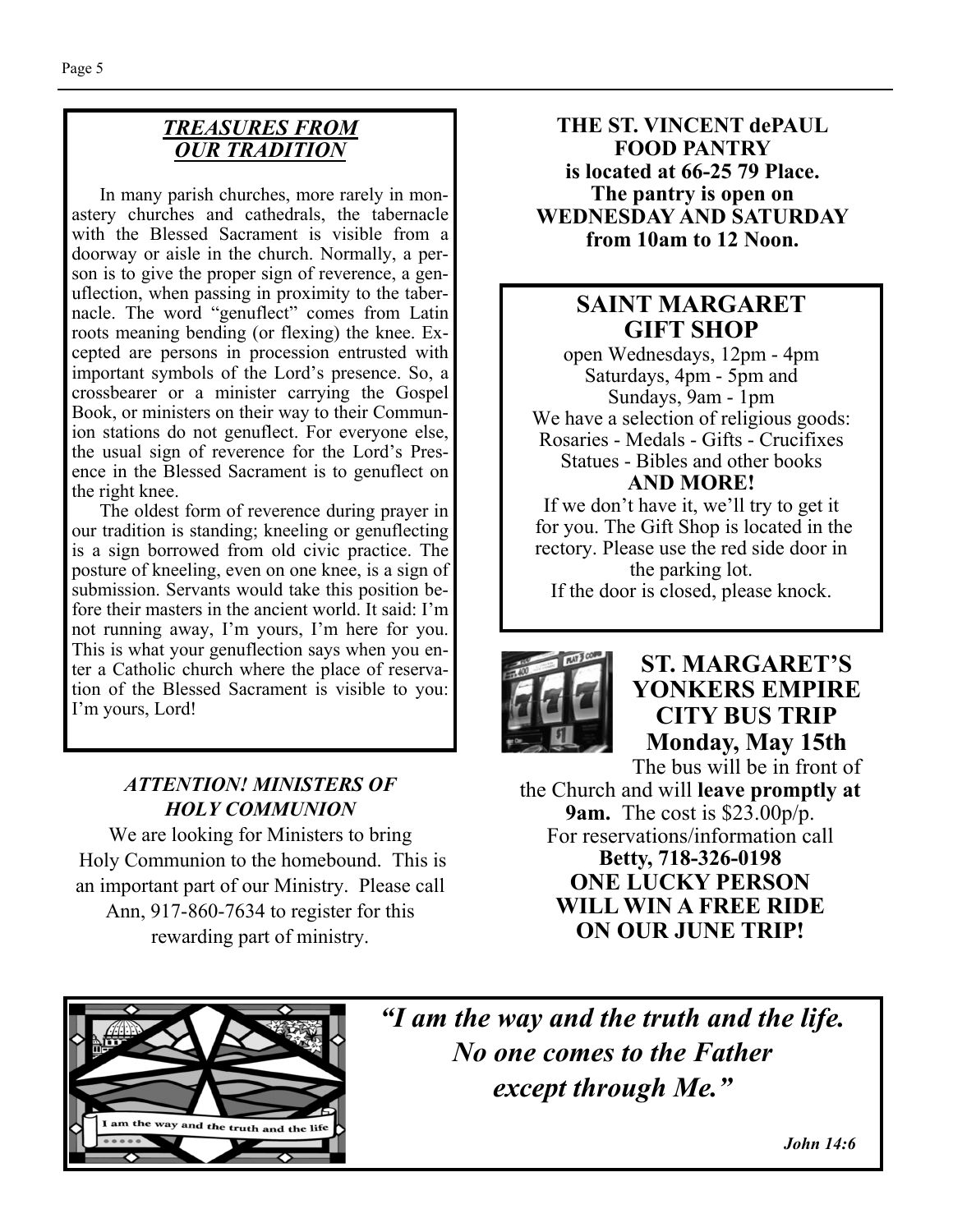### *TREASURES FROM OUR TRADITION*

In many parish churches, more rarely in monastery churches and cathedrals, the tabernacle with the Blessed Sacrament is visible from a doorway or aisle in the church. Normally, a person is to give the proper sign of reverence, a genuflection, when passing in proximity to the tabernacle. The word "genuflect" comes from Latin roots meaning bending (or flexing) the knee. Excepted are persons in procession entrusted with important symbols of the Lord's presence. So, a crossbearer or a minister carrying the Gospel Book, or ministers on their way to their Communion stations do not genuflect. For everyone else, the usual sign of reverence for the Lord's Presence in the Blessed Sacrament is to genuflect on the right knee.

 The oldest form of reverence during prayer in our tradition is standing; kneeling or genuflecting is a sign borrowed from old civic practice. The posture of kneeling, even on one knee, is a sign of submission. Servants would take this position before their masters in the ancient world. It said: I'm not running away, I'm yours, I'm here for you. This is what your genuflection says when you enter a Catholic church where the place of reservation of the Blessed Sacrament is visible to you: I'm yours, Lord!

### *ATTENTION! MINISTERS OF HOLY COMMUNION*

We are looking for Ministers to bring Holy Communion to the homebound. This is an important part of our Ministry. Please call Ann, 917-860-7634 to register for this rewarding part of ministry.

**THE ST. VINCENT dePAUL FOOD PANTRY is located at 66-25 79 Place. The pantry is open on WEDNESDAY AND SATURDAY from 10am to 12 Noon.** 

### **SAINT MARGARET GIFT SHOP**

open Wednesdays, 12pm - 4pm Saturdays, 4pm - 5pm and Sundays, 9am - 1pm We have a selection of religious goods: Rosaries - Medals - Gifts - Crucifixes Statues - Bibles and other books **AND MORE!** 

If we don't have it, we'll try to get it for you. The Gift Shop is located in the rectory. Please use the red side door in the parking lot. If the door is closed, please knock.



### **ST. MARGARET'S YONKERS EMPIRE CITY BUS TRIP Monday, May 15th**

The bus will be in front of the Church and will **leave promptly at 9am.** The cost is \$23.00p/p. For reservations/information call **Betty, 718-326-0198 ONE LUCKY PERSON WILL WIN A FREE RIDE ON OUR JUNE TRIP!** 



*"I am the way and the truth and the life. No one comes to the Father except through Me."* 

 *John 14:6*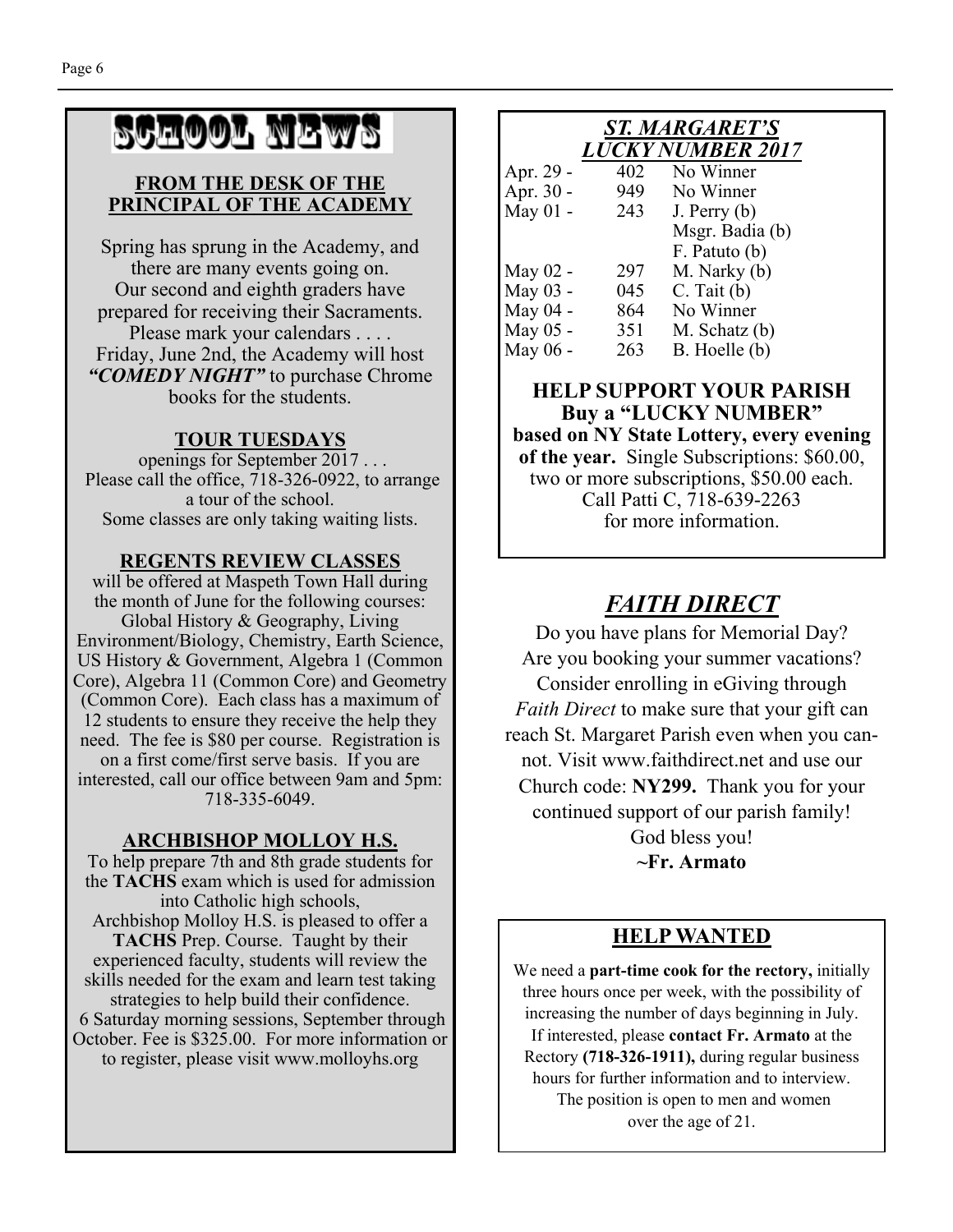# SCHOOL NEWS

#### **FROM THE DESK OF THE PRINCIPAL OF THE ACADEMY**

Spring has sprung in the Academy, and there are many events going on. Our second and eighth graders have prepared for receiving their Sacraments. Please mark your calendars . . . . Friday, June 2nd, the Academy will host *"COMEDY NIGHT"* to purchase Chrome books for the students.

#### **TOUR TUESDAYS**

openings for September 2017 . . . Please call the office, 718-326-0922, to arrange a tour of the school. Some classes are only taking waiting lists.

#### **REGENTS REVIEW CLASSES**

will be offered at Maspeth Town Hall during the month of June for the following courses: Global History & Geography, Living Environment/Biology, Chemistry, Earth Science, US History & Government, Algebra 1 (Common Core), Algebra 11 (Common Core) and Geometry (Common Core). Each class has a maximum of 12 students to ensure they receive the help they need. The fee is \$80 per course. Registration is on a first come/first serve basis. If you are interested, call our office between 9am and 5pm: 718-335-6049.

#### **ARCHBISHOP MOLLOY H.S.**

To help prepare 7th and 8th grade students for the **TACHS** exam which is used for admission into Catholic high schools, Archbishop Molloy H.S. is pleased to offer a **TACHS** Prep. Course. Taught by their experienced faculty, students will review the skills needed for the exam and learn test taking strategies to help build their confidence. 6 Saturday morning sessions, September through October. Fee is \$325.00. For more information or to register, please visit www.molloyhs.org

#### *ST. MARGARET'S LUCKY NUMBER 2017*

| 402 | No Winner       |
|-----|-----------------|
| 949 | No Winner       |
| 243 | J. Perry $(b)$  |
|     | Msgr. Badia (b) |
|     | F. Patuto (b)   |
| 297 | M. Narky (b)    |
| 045 | $C.$ Tait $(b)$ |
| 864 | No Winner       |
| 351 | M. Schatz (b)   |
| 263 | B. Hoelle (b)   |
|     |                 |

**HELP SUPPORT YOUR PARISH Buy a "LUCKY NUMBER" based on NY State Lottery, every evening of the year.** Single Subscriptions: \$60.00, two or more subscriptions, \$50.00 each. Call Patti C, 718-639-2263 for more information.

## *FAITH DIRECT*

Do you have plans for Memorial Day? Are you booking your summer vacations? Consider enrolling in eGiving through *Faith Direct* to make sure that your gift can reach St. Margaret Parish even when you cannot. Visit www.faithdirect.net and use our Church code: **NY299.** Thank you for your continued support of our parish family! God bless you! **~Fr. Armato** 

#### **HELP WANTED**

We need a **part-time cook for the rectory,** initially three hours once per week, with the possibility of increasing the number of days beginning in July. If interested, please **contact Fr. Armato** at the Rectory **(718-326-1911),** during regular business hours for further information and to interview. The position is open to men and women over the age of 21.